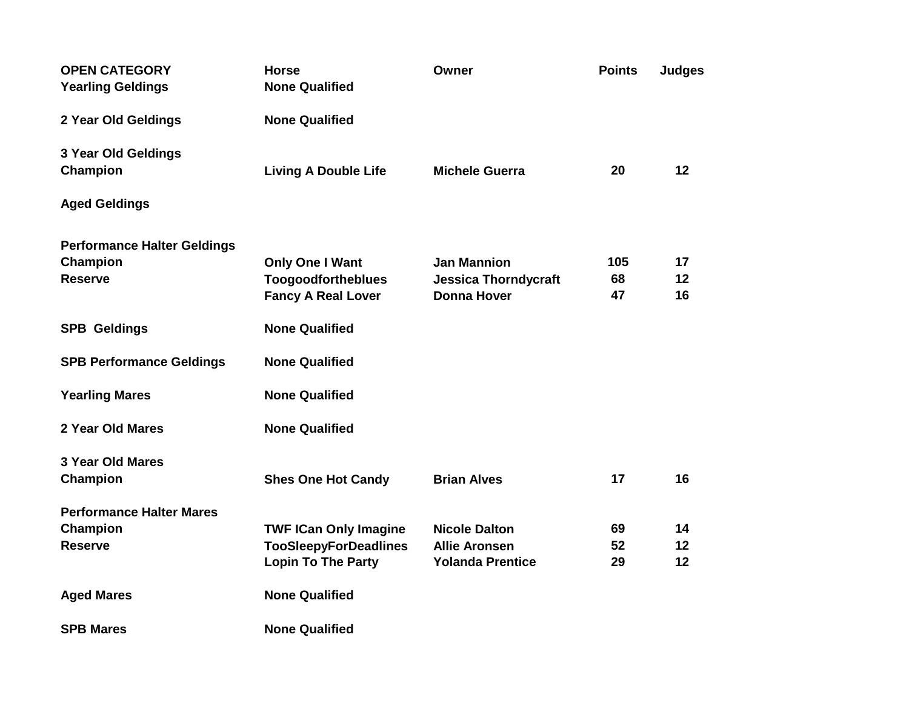| <b>OPEN CATEGORY</b><br><b>Yearling Geldings</b>                     | <b>Horse</b><br><b>None Qualified</b>                                                     | Owner                                                                   | <b>Points</b>   | <b>Judges</b>  |
|----------------------------------------------------------------------|-------------------------------------------------------------------------------------------|-------------------------------------------------------------------------|-----------------|----------------|
| 2 Year Old Geldings                                                  | <b>None Qualified</b>                                                                     |                                                                         |                 |                |
| 3 Year Old Geldings<br>Champion                                      | <b>Living A Double Life</b>                                                               | <b>Michele Guerra</b>                                                   | 20              | 12             |
| <b>Aged Geldings</b>                                                 |                                                                                           |                                                                         |                 |                |
| <b>Performance Halter Geldings</b><br>Champion<br><b>Reserve</b>     | Only One I Want<br><b>Toogoodfortheblues</b><br><b>Fancy A Real Lover</b>                 | <b>Jan Mannion</b><br><b>Jessica Thorndycraft</b><br><b>Donna Hover</b> | 105<br>68<br>47 | 17<br>12<br>16 |
| <b>SPB Geldings</b>                                                  | <b>None Qualified</b>                                                                     |                                                                         |                 |                |
| <b>SPB Performance Geldings</b>                                      | <b>None Qualified</b>                                                                     |                                                                         |                 |                |
| <b>Yearling Mares</b>                                                | <b>None Qualified</b>                                                                     |                                                                         |                 |                |
| 2 Year Old Mares                                                     | <b>None Qualified</b>                                                                     |                                                                         |                 |                |
| <b>3 Year Old Mares</b><br>Champion                                  | <b>Shes One Hot Candy</b>                                                                 | <b>Brian Alves</b>                                                      | 17              | 16             |
| <b>Performance Halter Mares</b><br><b>Champion</b><br><b>Reserve</b> | <b>TWF ICan Only Imagine</b><br><b>TooSleepyForDeadlines</b><br><b>Lopin To The Party</b> | <b>Nicole Dalton</b><br><b>Allie Aronsen</b><br><b>Yolanda Prentice</b> | 69<br>52<br>29  | 14<br>12<br>12 |
| <b>Aged Mares</b>                                                    | <b>None Qualified</b>                                                                     |                                                                         |                 |                |
| <b>SPB Mares</b>                                                     | <b>None Qualified</b>                                                                     |                                                                         |                 |                |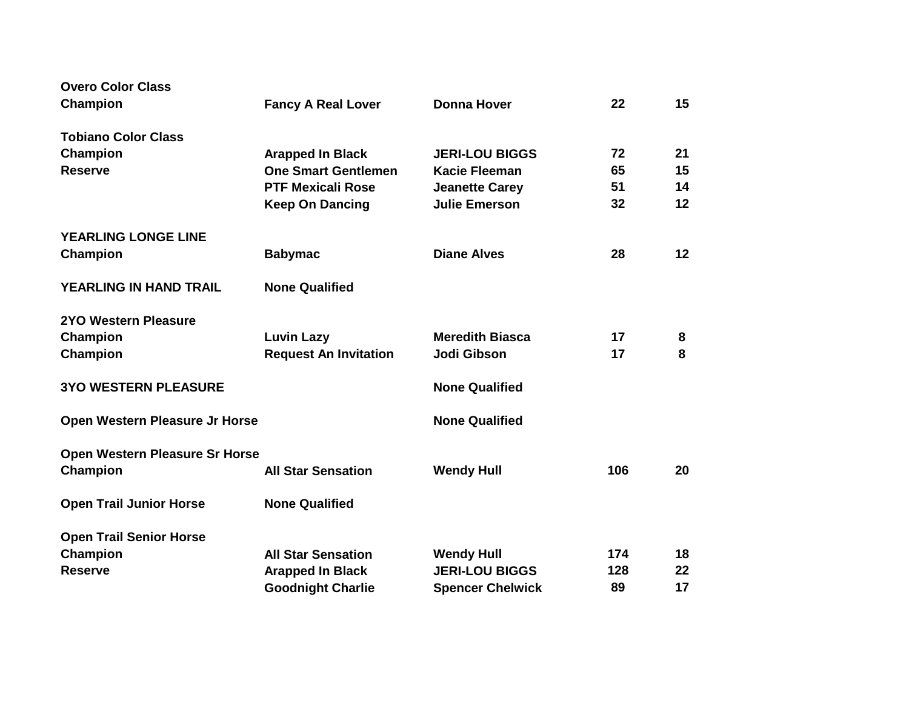| <b>Overo Color Class</b>              |                              |                         |     |    |
|---------------------------------------|------------------------------|-------------------------|-----|----|
| <b>Champion</b>                       | <b>Fancy A Real Lover</b>    | <b>Donna Hover</b>      | 22  | 15 |
| <b>Tobiano Color Class</b>            |                              |                         |     |    |
| Champion                              | <b>Arapped In Black</b>      | <b>JERI-LOU BIGGS</b>   | 72  | 21 |
| <b>Reserve</b>                        | <b>One Smart Gentlemen</b>   | <b>Kacie Fleeman</b>    | 65  | 15 |
|                                       | <b>PTF Mexicali Rose</b>     | <b>Jeanette Carey</b>   | 51  | 14 |
|                                       | <b>Keep On Dancing</b>       | <b>Julie Emerson</b>    | 32  | 12 |
| <b>YEARLING LONGE LINE</b>            |                              |                         |     |    |
| <b>Champion</b>                       | <b>Babymac</b>               | <b>Diane Alves</b>      | 28  | 12 |
| <b>YEARLING IN HAND TRAIL</b>         | <b>None Qualified</b>        |                         |     |    |
| <b>2YO Western Pleasure</b>           |                              |                         |     |    |
| Champion                              | <b>Luvin Lazy</b>            | <b>Meredith Biasca</b>  | 17  | 8  |
| Champion                              | <b>Request An Invitation</b> | Jodi Gibson             | 17  | 8  |
| <b>3YO WESTERN PLEASURE</b>           |                              | <b>None Qualified</b>   |     |    |
| Open Western Pleasure Jr Horse        |                              | <b>None Qualified</b>   |     |    |
| <b>Open Western Pleasure Sr Horse</b> |                              |                         |     |    |
| <b>Champion</b>                       | <b>All Star Sensation</b>    | <b>Wendy Hull</b>       | 106 | 20 |
| <b>Open Trail Junior Horse</b>        | <b>None Qualified</b>        |                         |     |    |
| <b>Open Trail Senior Horse</b>        |                              |                         |     |    |
| Champion                              | <b>All Star Sensation</b>    | <b>Wendy Hull</b>       | 174 | 18 |
| <b>Reserve</b>                        | <b>Arapped In Black</b>      | <b>JERI-LOU BIGGS</b>   | 128 | 22 |
|                                       | <b>Goodnight Charlie</b>     | <b>Spencer Chelwick</b> | 89  | 17 |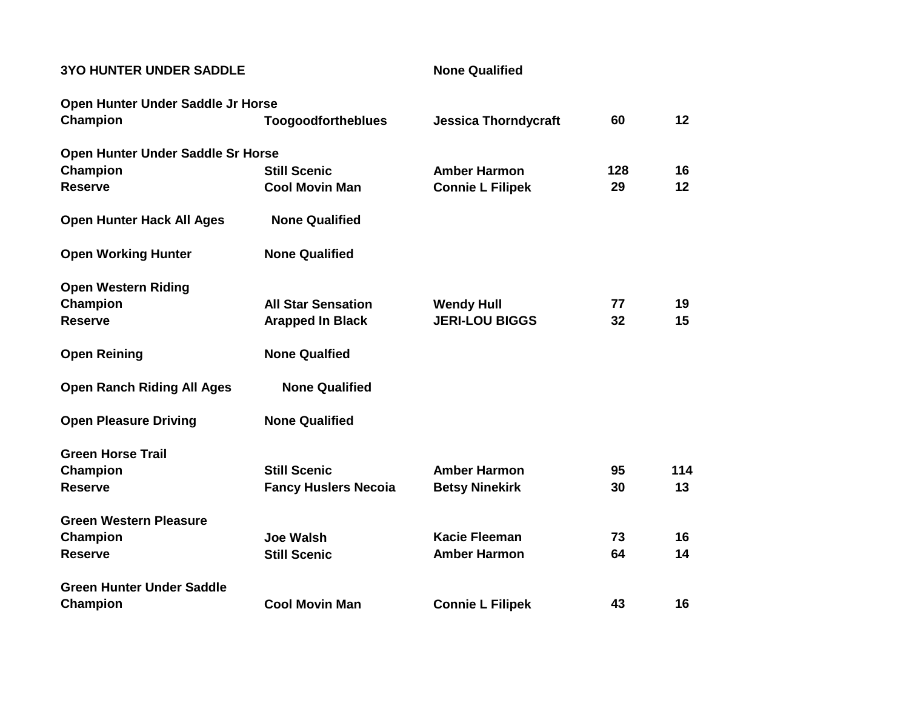## **3YO HUNTER UNDER SADDLE None Qualified**

| Open Hunter Under Saddle Jr Horse |                             |                             |     |     |
|-----------------------------------|-----------------------------|-----------------------------|-----|-----|
| <b>Champion</b>                   | <b>Toogoodfortheblues</b>   | <b>Jessica Thorndycraft</b> | 60  | 12  |
| Open Hunter Under Saddle Sr Horse |                             |                             |     |     |
| Champion                          | <b>Still Scenic</b>         | <b>Amber Harmon</b>         | 128 | 16  |
| <b>Reserve</b>                    | <b>Cool Movin Man</b>       | <b>Connie L Filipek</b>     | 29  | 12  |
| <b>Open Hunter Hack All Ages</b>  | <b>None Qualified</b>       |                             |     |     |
| <b>Open Working Hunter</b>        | <b>None Qualified</b>       |                             |     |     |
| <b>Open Western Riding</b>        |                             |                             |     |     |
| Champion                          | <b>All Star Sensation</b>   | <b>Wendy Hull</b>           | 77  | 19  |
| <b>Reserve</b>                    | <b>Arapped In Black</b>     | <b>JERI-LOU BIGGS</b>       | 32  | 15  |
| <b>Open Reining</b>               | <b>None Qualfied</b>        |                             |     |     |
| <b>Open Ranch Riding All Ages</b> | <b>None Qualified</b>       |                             |     |     |
| <b>Open Pleasure Driving</b>      | <b>None Qualified</b>       |                             |     |     |
| <b>Green Horse Trail</b>          |                             |                             |     |     |
| Champion                          | <b>Still Scenic</b>         | <b>Amber Harmon</b>         | 95  | 114 |
| <b>Reserve</b>                    | <b>Fancy Huslers Necola</b> | <b>Betsy Ninekirk</b>       | 30  | 13  |
| <b>Green Western Pleasure</b>     |                             |                             |     |     |
| Champion                          | <b>Joe Walsh</b>            | <b>Kacie Fleeman</b>        | 73  | 16  |
| <b>Reserve</b>                    | <b>Still Scenic</b>         | <b>Amber Harmon</b>         | 64  | 14  |
| <b>Green Hunter Under Saddle</b>  |                             |                             |     |     |
| <b>Champion</b>                   | <b>Cool Movin Man</b>       | <b>Connie L Filipek</b>     | 43  | 16  |